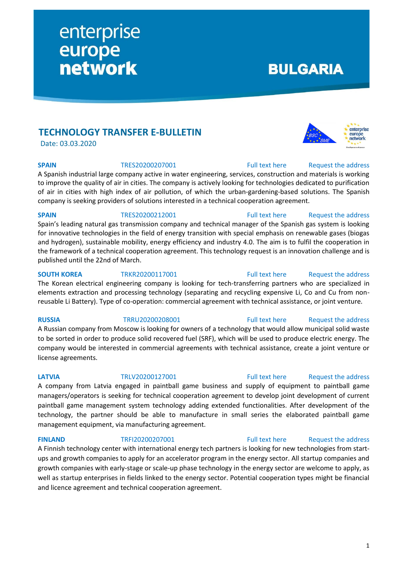# **TECHNOLOGY TRANSFER E-BULLETIN**

enterprise

network

europe

Date: 03.03.2020

**SPAIN** TRES20200207001 [Full text here](https://een.ec.europa.eu/tools/services/PRO/Profile/Detail/bf0bd02a-1a5a-4b53-8c7c-9a4ba74dbc7b) Request the address

A Spanish industrial large company active in water engineering, services, construction and materials is working to improve the quality of air in cities. The company is actively looking for technologies dedicated to purification of air in cities with high index of air pollution, of which the urban-gardening-based solutions. The Spanish company is seeking providers of solutions interested in a technical cooperation agreement.

**SPAIN** TRES20200212001 [Full text here](https://een.ec.europa.eu/tools/services/PRO/Profile/Detail/b2e31d66-d8fc-49c2-a20a-6da02060a8e3) Request the address Spain's leading natural gas transmission company and technical manager of the Spanish gas system is looking for innovative technologies in the field of energy transition with special emphasis on renewable gases (biogas and hydrogen), sustainable mobility, energy efficiency and industry 4.0. The aim is to fulfil the cooperation in the framework of a technical cooperation agreement. This technology request is an innovation challenge and is published until the 22nd of March.

**SOUTH KOREA** TRKR20200117001 [Full text here](https://een.ec.europa.eu/tools/services/PRO/Profile/Detail/c20bf61a-66b7-4a39-8256-87f2bea9f4e3) Request [the address](http://www.een.bg/index.php?option=com_rsform&formId=13) The Korean electrical engineering company is looking for tech-transferring partners who are specialized in elements extraction and processing technology (separating and recycling expensive Li, Co and Cu from nonreusable Li Battery). Type of co-operation: commercial agreement with technical assistance, or joint venture.

A Russian company from Moscow is looking for owners of a technology that would allow municipal solid waste to be sorted in order to produce solid recovered fuel (SRF), which will be used to produce electric energy. The company would be interested in commercial agreements with technical assistance, create a joint venture or license agreements.

A company from Latvia engaged in paintball game business and supply of equipment to paintball game managers/operators is seeking for technical cooperation agreement to develop joint development of current paintball game management system technology adding extended functionalities. After development of the technology, the partner should be able to manufacture in small series the elaborated paintball game management equipment, via manufacturing agreement.

**FINLAND** TRFI20200207001 [Full text here](https://een.ec.europa.eu/tools/services/PRO/Profile/Detail/f4f0ab07-ff8b-4865-a538-458df2af8e3d) Request the address

A Finnish technology center with international energy tech partners is looking for new technologies from startups and growth companies to apply for an accelerator program in the energy sector. All startup companies and growth companies with early-stage or scale-up phase technology in the energy sector are welcome to apply, as well as startup enterprises in fields linked to the energy sector. Potential cooperation types might be financial and licence agreement and technical cooperation agreement.

# **BULGARIA**



# **RUSSIA** TRRU20200208001 [Full text here](https://een.ec.europa.eu/tools/services/PRO/Profile/Detail/70c8b981-9491-46c8-976e-d47966417292) Request [the address](http://www.een.bg/index.php?option=com_rsform&formId=13)

# **LATVIA** TRLV20200127001 [Full text here](https://een.ec.europa.eu/tools/services/PRO/Profile/Detail/171d6ca2-fa70-4800-bf15-fcccaff97aa2) Request the address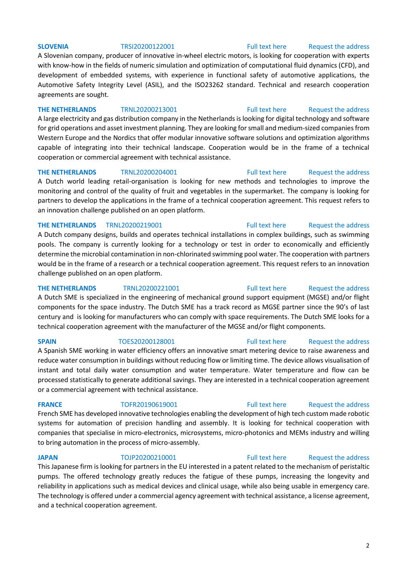A Slovenian company, producer of innovative in-wheel electric motors, is looking for cooperation with experts with know-how in the fields of numeric simulation and optimization of computational fluid dynamics (CFD), and development of embedded systems, with experience in functional safety of automotive applications, the Automotive Safety Integrity Level (ASIL), and the ISO23262 standard. Technical and research cooperation agreements are sought.

**THE NETHERLANDS** TRNL20200213001 [Full text here](https://een.ec.europa.eu/tools/services/PRO/Profile/Detail/d9853ccb-6bed-43b6-9d6d-a7438b169594) Request [the address](http://www.een.bg/index.php?option=com_rsform&formId=13) A large electricity and gas distribution company in the Netherlands is looking for digital technology and software for grid operations and asset investment planning. They are looking for small and medium-sized companies from Western Europe and the Nordics that offer modular innovative software solutions and optimization algorithms capable of integrating into their technical landscape. Cooperation would be in the frame of a technical cooperation or commercial agreement with technical assistance.

**THE NETHERLANDS** TRNL20200204001 [Full text here](https://een.ec.europa.eu/tools/services/PRO/Profile/Detail/2d7d5789-02d8-4675-900a-0fadbd2cf56b) Request the address A Dutch world leading retail-organisation is looking for new methods and technologies to improve the monitoring and control of the quality of fruit and vegetables in the supermarket. The company is looking for partners to develop the applications in the frame of a technical cooperation agreement. This request refers to an innovation challenge published on an open platform.

### **THE NETHERLANDS** TRNL20200219001 **Full text here** Request the address

A Dutch company designs, builds and operates technical installations in complex buildings, such as swimming pools. The company is currently looking for a technology or test in order to economically and efficiently determine the microbial contamination in non-chlorinated swimming pool water. The cooperation with partners would be in the frame of a research or a technical cooperation agreement. This request refers to an innovation challenge published on an open platform.

**THE NETHERLANDS** TRNL20200221001 [Full text here](https://een.ec.europa.eu/tools/services/PRO/Profile/Detail/9d6aa24f-b217-4455-9ce7-95d35f422f9d) Request [the address](http://www.een.bg/index.php?option=com_rsform&formId=13) A Dutch SME is specialized in the engineering of mechanical ground support equipment (MGSE) and/or flight components for the space industry. The Dutch SME has a track record as MGSE partner since the 90's of last century and is looking for manufacturers who can comply with space requirements. The Dutch SME looks for a technical cooperation agreement with the manufacturer of the MGSE and/or flight components.

**SPAIN** TOES20200128001 [Full text here](https://een.ec.europa.eu/tools/services/PRO/Profile/Detail/070f5e5c-4d18-4dc1-a725-090621e76605) Request the address A Spanish SME working in water efficiency offers an innovative smart metering device to raise awareness and reduce water consumption in buildings without reducing flow or limiting time. The device allows visualisation of instant and total daily water consumption and water temperature. Water temperature and flow can be processed statistically to generate additional savings. They are interested in a technical cooperation agreement or a commercial agreement with technical assistance.

French SME has developed innovative technologies enabling the development of high tech custom made robotic systems for automation of precision handling and assembly. It is looking for technical cooperation with companies that specialise in micro-electronics, microsystems, micro-photonics and MEMs industry and willing to bring automation in the process of micro-assembly.

This Japanese firm is looking for partners in the EU interested in a patent related to the mechanism of peristaltic pumps. The offered technology greatly reduces the fatigue of these pumps, increasing the longevity and reliability in applications such as medical devices and clinical usage, while also being usable in emergency care. The technology is offered under a commercial agency agreement with technical assistance, a license agreement, and a technical cooperation agreement.

### 2

# **FRANCE** TOFR20190619001 [Full text here](https://een.ec.europa.eu/tools/services/PRO/Profile/Detail/66c0a977-37a4-47b0-85a9-fa38df314892) Request the address

### **JAPAN** TOJP20200210001 [Full text here](https://een.ec.europa.eu/tools/services/PRO/Profile/Detail/c222871b-22f2-4b36-9f37-ad34cc333404) Request the address

### **SLOVENIA** TRSI20200122001 [Full text here](https://een.ec.europa.eu/tools/services/PRO/Profile/Detail/3c2cc829-c3e6-4233-a4d5-350143bd4a49) Request [the address](http://www.een.bg/index.php?option=com_rsform&formId=13)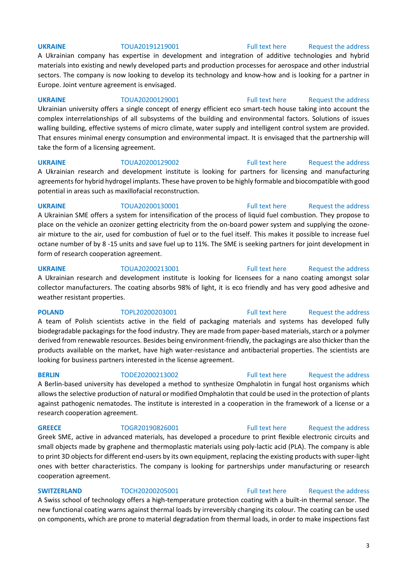A Ukrainian company has expertise in development and integration of additive technologies and hybrid materials into existing and newly developed parts and production processes for aerospace and other industrial sectors. The company is now looking to develop its technology and know-how and is looking for a partner in Europe. Joint venture agreement is envisaged.

**UKRAINE** TOUA20200129001 [Full text here](https://een.ec.europa.eu/tools/services/PRO/Profile/Detail/8faa8bd9-6084-4f63-b3dd-703ef044d1b7) Request [the address](http://www.een.bg/index.php?option=com_rsform&formId=13)  Ukrainian university offers a single concept of energy efficient eco smart-tech house taking into account the complex interrelationships of all subsystems of the building and environmental factors. Solutions of issues walling building, effective systems of micro climate, water supply and intelligent control system are provided. That ensures minimal energy consumption and environmental impact. It is envisaged that the partnership will take the form of a licensing agreement.

**UKRAINE** TOUA20200129002 [Full text here](https://een.ec.europa.eu/tools/services/PRO/Profile/Detail/589c61f8-a427-46a7-bd57-8e78275c7fde) Request [the address](http://www.een.bg/index.php?option=com_rsform&formId=13)  A Ukrainian research and development institute is looking for partners for licensing and manufacturing agreements for hybrid hydrogel implants. These have proven to be highly formable and biocompatible with good potential in areas such as maxillofacial reconstruction.

### **UKRAINE** TOUA20200130001 [Full text here](https://een.ec.europa.eu/tools/services/PRO/Profile/Detail/b7ff3d0e-1398-4df0-9262-086488057378) Request the address

A Ukrainian SME offers a system for intensification of the process of liquid fuel combustion. They propose to place on the vehicle an ozonizer getting electricity from the on-board power system and supplying the ozoneair mixture to the air, used for combustion of fuel or to the fuel itself. This makes it possible to increase fuel octane number of by 8 -15 units and save fuel up to 11%. The SME is seeking partners for joint development in form of research cooperation agreement.

### **UKRAINE** TOUA20200213001 [Full text here](https://een.ec.europa.eu/tools/services/PRO/Profile/Detail/d0ee48e6-d272-40dd-b6fe-d8bf48d975d2) Request the address

A Ukrainian research and development institute is looking for licensees for a nano coating amongst solar collector manufacturers. The coating absorbs 98% of light, it is eco friendly and has very good adhesive and weather resistant properties.

A team of Polish scientists active in the field of packaging materials and systems has developed fully biodegradable packagings for the food industry. They are made from paper-based materials, starch or a polymer derived from renewable resources. Besides being environment-friendly, the packagings are also thicker than the products available on the market, have high water-resistance and antibacterial properties. The scientists are looking for business partners interested in the license agreement.

# A Berlin-based university has developed a method to synthesize Omphalotin in fungal host organisms which allows the selective production of natural or modified Omphalotin that could be used in the protection of plants against pathogenic nematodes. The institute is interested in a cooperation in the framework of a license or a research cooperation agreement.

**GREECE** TOGR20190826001 [Full text here](https://een.ec.europa.eu/tools/services/PRO/Profile/Detail/918559ea-62a3-4a62-a575-b39f715e8f57) Request the address Greek SME, active in advanced materials, has developed a procedure to print flexible electronic circuits and small objects made by graphene and thermoplastic materials using poly-lactic acid (PLA). The company is able to print 3D objects for different end-users by its own equipment, replacing the existing products with super-light ones with better characteristics. The company is looking for partnerships under manufacturing or research cooperation agreement.

**SWITZERLAND** TOCH20200205001 [Full text here](https://een.ec.europa.eu/tools/services/PRO/Profile/Detail/c7521b27-5890-4582-87da-675850109c91) Request the address A Swiss school of technology offers a high-temperature protection coating with a built-in thermal sensor. The new functional coating warns against thermal loads by irreversibly changing its colour. The coating can be used on components, which are prone to material degradation from thermal loads, in order to make inspections fast

# **UKRAINE** TOUA20191219001 [Full text here](https://een.ec.europa.eu/tools/services/PRO/Profile/Detail/33ba7ede-88b3-4673-8d02-9c6a72b9d1ca) Request the address

### **POLAND** TOPL20200203001 [Full text here](https://een.ec.europa.eu/tools/services/PRO/Profile/Detail/0a333b3b-570e-4ea9-b157-928a0cd46215) Request the address

# **BERLIN** TODE20200213002 [Full text here](https://een.ec.europa.eu/tools/services/PRO/Profile/Detail/aca7e6fc-98d1-4678-ae41-051ec56b3f50) Request the address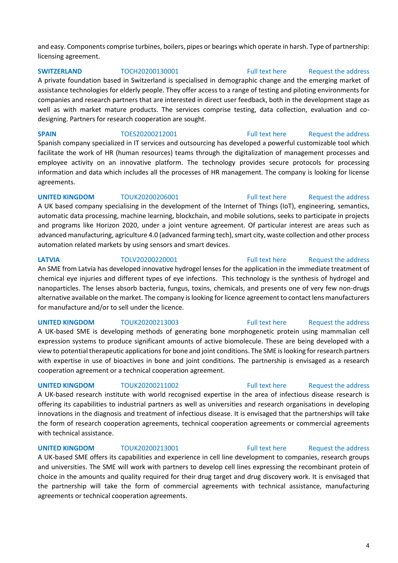and easy. Components comprise turbines, boilers, pipes or bearings which operate in harsh. Type of partnership: licensing agreement.

**SWITZERLAND** TOCH20200130001 [Full text here](https://een.ec.europa.eu/tools/services/PRO/Profile/Detail/07569f42-9c56-4979-891f-eda8a5235379) Request the address A private foundation based in Switzerland is specialised in demographic change and the emerging market of assistance technologies for elderly people. They offer access to a range of testing and piloting environments for companies and research partners that are interested in direct user feedback, both in the development stage as well as with market mature products. The services comprise testing, data collection, evaluation and codesigning. Partners for research cooperation are sought.

**SPAIN** TOES20200212001 [Full text here](https://een.ec.europa.eu/tools/services/PRO/Profile/Detail/16e63fdb-d0ab-403a-b4a4-8398325d23d6) Request the address Spanish company specialized in IT services and outsourcing has developed a powerful customizable tool which facilitate the work of HR (human resources) teams through the digitalization of management processes and employee activity on an innovative platform. The technology provides secure protocols for processing information and data which includes all the processes of HR management. The company is looking for license agreements.

### **UNITED KINGDOM** TOUK20200206001 [Full text here](https://een.ec.europa.eu/tools/services/PRO/Profile/Detail/7a8bcc11-7538-4e52-97f3-e4a6055a0bac) Request the address A UK based company specialising in the development of the Internet of Things (IoT), engineering, semantics, automatic data processing, machine learning, blockchain, and mobile solutions, seeks to participate in projects and programs like Horizon 2020, under a joint venture agreement. Of particular interest are areas such as advanced manufacturing, agriculture 4.0 (advanced farming tech), smart city, waste collection and other process automation related markets by using sensors and smart devices.

**LATVIA** TOLV20200220001 [Full text here](https://een.ec.europa.eu/tools/services/PRO/Profile/Detail/02d31b78-564d-4dc2-8404-451f9a9fbdd6) Request the address

An SME from Latvia has developed innovative hydrogel lenses for the application in the immediate treatment of chemical eye injuries and different types of eye infections. This technology is the synthesis of hydrogel and nanoparticles. The lenses absorb bacteria, fungus, toxins, chemicals, and presents one of very few non-drugs alternative available on the market. The company is looking for licence agreement to contact lens manufacturers for manufacture and/or to sell under the licence.

A UK-based SME is developing methods of generating bone morphogenetic protein using mammalian cell expression systems to produce significant amounts of active biomolecule. These are being developed with a view to potential therapeutic applications for bone and joint conditions. The SME is looking for research partners with expertise in use of bioactives in bone and joint conditions. The partnership is envisaged as a research cooperation agreement or a technical cooperation agreement.

**UNITED KINGDOM** TOUK20200211002 **Full text here** Request the address

A UK-based research institute with world recognised expertise in the area of infectious disease research is offering its capabilities to industrial partners as well as universities and research organisations in developing innovations in the diagnosis and treatment of infectious disease. It is envisaged that the partnerships will take the form of research cooperation agreements, technical cooperation agreements or commercial agreements with technical assistance.

**UNITED KINGDOM** TOUK20200213001 [Full text here](https://een.ec.europa.eu/tools/services/PRO/Profile/Detail/af2f41eb-c7a4-4a51-a4ff-0c6690966bf2) Request the address

A UK-based SME offers its capabilities and experience in cell line development to companies, research groups and universities. The SME will work with partners to develop cell lines expressing the recombinant protein of choice in the amounts and quality required for their drug target and drug discovery work. It is envisaged that the partnership will take the form of commercial agreements with technical assistance, manufacturing agreements or technical cooperation agreements.

# **UNITED KINGDOM** TOUK20200213003 [Full text here](https://een.ec.europa.eu/tools/services/PRO/Profile/Detail/bc69c2a0-1440-4dd3-b58e-ce50cc92645a) Request the address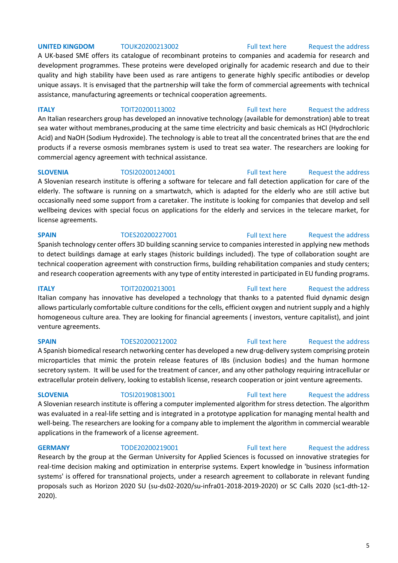### **UNITED KINGDOM** TOUK20200213002 **Full text here** Request the address

A UK-based SME offers its catalogue of recombinant proteins to companies and academia for research and development programmes. These proteins were developed originally for academic research and due to their quality and high stability have been used as rare antigens to generate highly specific antibodies or develop unique assays. It is envisaged that the partnership will take the form of commercial agreements with technical assistance, manufacturing agreements or technical cooperation agreements.

### **ITALY TOIT20200113002** [Full text here](https://een.ec.europa.eu/tools/services/PRO/Profile/Detail/9b2f0912-1d6c-41f5-ae96-f1d8c9dba689) Request the address

An Italian researchers group has developed an innovative technology (available for demonstration) able to treat sea water without membranes,producing at the same time electricity and basic chemicals as HCl (Hydrochloric Acid) and NaOH (Sodium Hydroxide). The technology is able to treat all the concentrated brines that are the end products if a reverse osmosis membranes system is used to treat sea water. The researchers are looking for commercial agency agreement with technical assistance.

A Slovenian research institute is offering a software for telecare and fall detection application for care of the elderly. The software is running on a smartwatch, which is adapted for the elderly who are still active but occasionally need some support from a caretaker. The institute is looking for companies that develop and sell wellbeing devices with special focus on applications for the elderly and services in the telecare market, for license agreements.

### **SPAIN** TOES20200227001 Full [text](https://een.ec.europa.eu/tools/services/PRO/Profile/Detail/662f1047-9c8f-4be3-8936-c633e8008ac4) here Request the address

Spanish technology center offers 3D building scanning service to companies interested in applying new methods to detect buildings damage at early stages (historic buildings included). The type of collaboration sought are technical cooperation agreement with construction firms, building rehabilitation companies and study centers; and research cooperation agreements with any type of entity interested in participated in EU funding programs.

Italian company has innovative has developed a technology that thanks to a patented fluid dynamic design allows particularly comfortable culture conditions for the cells, efficient oxygen and nutrient supply and a highly homogeneous culture area. They are looking for financial agreements ( investors, venture capitalist), and joint venture agreements.

A Spanish biomedical research networking center has developed a new drug-delivery system comprising protein microparticles that mimic the protein release features of IBs (inclusion bodies) and the human hormone secretory system. It will be used for the treatment of cancer, and any other pathology requiring intracellular or extracellular protein delivery, looking to establish license, research cooperation or joint venture agreements.

# A Slovenian research institute is offering a computer implemented algorithm for stress detection. The algorithm was evaluated in a real-life setting and is integrated in a prototype application for managing mental health and well-being. The researchers are looking for a company able to implement the algorithm in commercial wearable applications in the framework of a license agreement.

Research by the group at the German University for Applied Sciences is focussed on innovative strategies for real-time decision making and optimization in enterprise systems. Expert knowledge in 'business information systems' is offered for transnational projects, under a research agreement to collaborate in relevant funding proposals such as Horizon 2020 SU (su-ds02-2020/su-infra01-2018-2019-2020) or SC Calls 2020 (sc1-dth-12- 2020).

### **SLOVENIA** TOSI20200124001 [Full text here](https://een.ec.europa.eu/tools/services/PRO/Profile/Detail/0fb849d5-cb8b-45d2-84c0-fc1e376b3903) Request the address

# **ITALY TOIT20200213001** [Full text here](https://een.ec.europa.eu/tools/services/PRO/Profile/Detail/ad9ae3e0-ddd3-473b-b983-8dc0c55f0a84) Request the address

### **SPAIN** TOES20200212002 [Full text here](https://een.ec.europa.eu/tools/services/PRO/Profile/Detail/e31174be-3683-4e32-aaf3-cb0e3455cde3) Request the address

# **SLOVENIA** TOSI20190813001 [Full text here](https://een.ec.europa.eu/tools/services/PRO/Profile/Detail/e4f2fb80-b93e-4fad-a74e-d362239806b8) Request the address

### **GERMANY** TODE20200219001 [Full text here](https://een.ec.europa.eu/tools/services/PRO/Profile/Detail/08068c19-2d25-4e03-8736-c6c8cbe7629c) Request the address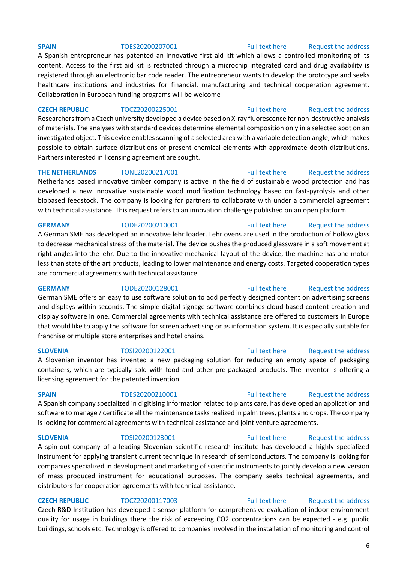### **SPAIN** TOES20200207001 [Full text here](https://een.ec.europa.eu/tools/services/PRO/Profile/Detail/48edf5d2-ac8e-4fd6-b97c-8ee950750723) Request the address

A Spanish entrepreneur has patented an innovative first aid kit which allows a controlled monitoring of its content. Access to the first aid kit is restricted through a microchip integrated card and drug availability is registered through an electronic bar code reader. The entrepreneur wants to develop the prototype and seeks healthcare institutions and industries for financial, manufacturing and technical cooperation agreement. Collaboration in European funding programs will be welcome

### **CZECH REPUBLIC** TOCZ20200225001 [Full text here](https://een.ec.europa.eu/tools/services/PRO/Profile/Detail/fde7fe0f-3ebd-445d-8f4e-06f87aa0ff6d) Request the address

Researchers from a Czech university developed a device based on X-ray fluorescence for non-destructive analysis of materials. The analyses with standard devices determine elemental composition only in a selected spot on an investigated object. This device enables scanning of a selected area with a variable detection angle, which makes possible to obtain surface distributions of present chemical elements with approximate depth distributions. Partners interested in licensing agreement are sought.

**THE NETHERLANDS** TONL20200217001 [Full text here](https://een.ec.europa.eu/tools/services/PRO/Profile/Detail/5147e629-e3cd-4893-b7d0-ef7aeb80c6cd) Request the address Netherlands based innovative timber company is active in the field of sustainable wood protection and has developed a new innovative sustainable wood modification technology based on fast-pyrolysis and other biobased feedstock. The company is looking for partners to collaborate with under a commercial agreement with technical assistance. This request refers to an innovation challenge published on an open platform.

### **GERMANY** TODE20200210001 [Full text here](https://een.ec.europa.eu/tools/services/PRO/Profile/Detail/7ee31979-c90b-4214-96c6-4aeb58c5abb8) [Request the address](http://www.een.bg/index.php?option=com_rsform&formId=13)

A German SME has developed an innovative lehr loader. Lehr ovens are used in the production of hollow glass to decrease mechanical stress of the material. The device pushes the produced glassware in a soft movement at right angles into the lehr. Due to the innovative mechanical layout of the device, the machine has one motor less than state of the art products, leading to lower maintenance and energy costs. Targeted cooperation types are commercial agreements with technical assistance.

**GERMANY** TODE20200128001 [Full text here](https://een.ec.europa.eu/tools/services/PRO/Profile/Detail/87c6cbae-7675-4e31-a54e-d2530aa34c1c) Request the address German SME offers an easy to use software solution to add perfectly designed content on advertising screens and displays within seconds. The simple digital signage software combines cloud-based content creation and display software in one. Commercial agreements with technical assistance are offered to customers in Europe that would like to apply the software for screen advertising or as information system. It is especially suitable for franchise or multiple store enterprises and hotel chains.

**SLOVENIA** TOSI20200122001 [Full text here](https://een.ec.europa.eu/tools/services/PRO/Profile/Detail/e526b58d-7487-4f45-81ba-d8242f2b34ee) Request the address A Slovenian inventor has invented a new packaging solution for reducing an empty space of packaging containers, which are typically sold with food and other pre-packaged products. The inventor is offering a licensing agreement for the patented invention.

**SPAIN** TOES20200210001 [Full text here](https://een.ec.europa.eu/tools/services/PRO/Profile/Detail/f8d6928a-ac0d-43b7-a769-0ee0c620225f) Request the address A Spanish company specialized in digitising information related to plants care, has developed an application and software to manage / certificate all the maintenance tasks realized in palm trees, plants and crops. The company is looking for commercial agreements with technical assistance and joint venture agreements.

A spin-out company of a leading Slovenian scientific research institute has developed a highly specialized instrument for applying transient current technique in research of semiconductors. The company is looking for companies specialized in development and marketing of scientific instruments to jointly develop a new version of mass produced instrument for educational purposes. The company seeks technical agreements, and distributors for cooperation agreements with technical assistance.

**CZECH REPUBLIC** TOCZ20200117003 [Full text here](https://een.ec.europa.eu/tools/services/PRO/Profile/Detail/81430078-1e5c-43f1-a60f-14a9d76bacd4) Request the address Czech R&D Institution has developed a sensor platform for comprehensive evaluation of indoor environment quality for usage in buildings there the risk of exceeding CO2 concentrations can be expected - e.g. public buildings, schools etc. Technology is offered to companies involved in the installation of monitoring and control

# **SLOVENIA** TOSI20200123001 [Full text here](https://een.ec.europa.eu/tools/services/PRO/Profile/Detail/b77f1e7c-4aad-4e95-b890-358c5e87def9) Request the address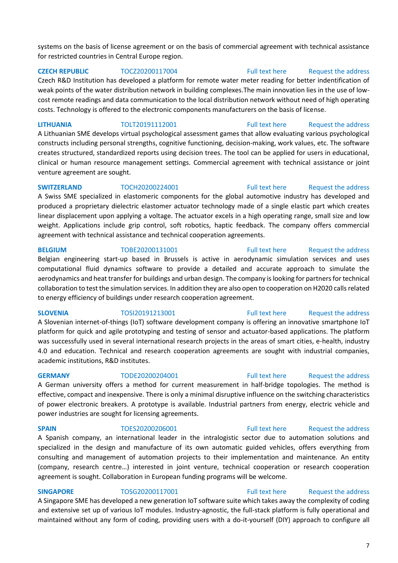systems on the basis of license agreement or on the basis of commercial agreement with technical assistance for restricted countries in Central Europe region.

**CZECH REPUBLIC** TOCZ20200117004 [Full text here](https://een.ec.europa.eu/tools/services/PRO/Profile/Detail/518555b5-a511-4a28-aecb-d4b99e27e11b) [Request the address](http://www.een.bg/index.php?option=com_rsform&formId=13)  Czech R&D Institution has developed a platform for remote water meter reading for better indentification of weak points of the water distribution network in building complexes.The main innovation lies in the use of lowcost remote readings and data communication to the local distribution network without need of high operating costs. Technology is offered to the electronic components manufacturers on the basis of license.

**LITHUANIA** TOLT20191112001 [Full text here](https://een.ec.europa.eu/tools/services/PRO/Profile/Detail/584111ff-2b99-4109-b65e-a64cd78c42ab) [Request the address](http://www.een.bg/index.php?option=com_rsform&formId=13)  A Lithuanian SME develops virtual psychological assessment games that allow evaluating various psychological constructs including personal strengths, cognitive functioning, decision-making, work values, etc. The software creates structured, standardized reports using decision trees. The tool can be applied for users in educational, clinical or human resource management settings. Commercial agreement with technical assistance or joint venture agreement are sought.

**SWITZERLAND** TOCH20200224001 [Full text here](https://een.ec.europa.eu/tools/services/PRO/Profile/Detail/5d631e4e-435e-42ed-b82f-958b037f3256) Request the address A Swiss SME specialized in elastomeric components for the global automotive industry has developed and produced a proprietary dielectric elastomer actuator technology made of a single elastic part which creates linear displacement upon applying a voltage. The actuator excels in a high operating range, small size and low weight. Applications include grip control, soft robotics, haptic feedback. The company offers commercial agreement with technical assistance and technical cooperation agreements.

**BELGIUM** TOBE20200131001 [Full text here](https://een.ec.europa.eu/tools/services/PRO/Profile/Detail/3a286fb4-13f4-408f-8cfa-3fd704e38958) Request the address

Belgian engineering start-up based in Brussels is active in aerodynamic simulation services and uses computational fluid dynamics software to provide a detailed and accurate approach to simulate the aerodynamics and heat transfer for buildings and urban design. The company is looking for partners for technical collaboration to test the simulation services. In addition they are also open to cooperation on H2020 calls related to energy efficiency of buildings under research cooperation agreement.

A Slovenian internet-of-things (IoT) software development company is offering an innovative smartphone IoT platform for quick and agile prototyping and testing of sensor and actuator-based applications. The platform was successfully used in several international research projects in the areas of smart cities, e-health, industry 4.0 and education. Technical and research cooperation agreements are sought with industrial companies, academic institutions, R&D institutes.

A German university offers a method for current measurement in half-bridge topologies. The method is effective, compact and inexpensive. There is only a minimal disruptive influence on the switching characteristics of power electronic breakers. A prototype is available. Industrial partners from energy, electric vehicle and power industries are sought for licensing agreements.

### **SPAIN** TOES20200206001 [Full text here](https://een.ec.europa.eu/tools/services/PRO/Profile/Detail/1d5428c9-56b2-4f34-9a09-861aee46ca69) Request the address

A Spanish company, an international leader in the intralogistic sector due to automation solutions and specialized in the design and manufacture of its own automatic guided vehicles, offers everything from consulting and management of automation projects to their implementation and maintenance. An entity (company, research centre…) interested in joint venture, technical cooperation or research cooperation agreement is sought. Collaboration in European funding programs will be welcome.

**SINGAPORE** TOSG20200117001 [Full text here](https://een.ec.europa.eu/tools/services/PRO/Profile/Detail/685d7d7b-99dc-486e-8938-00eba97778e2) Request the address

A Singapore SME has developed a new generation IoT software suite which takes away the complexity of coding and extensive set up of various IoT modules. Industry-agnostic, the full-stack platform is fully operational and maintained without any form of coding, providing users with a do-it-yourself (DIY) approach to configure all

### **SLOVENIA** TOSI20191213001 [Full text here](https://een.ec.europa.eu/tools/services/PRO/Profile/Detail/30352089-943d-4cd3-af53-0929551e32ca) Request the address

# **GERMANY** TODE20200204001 [Full text here](https://een.ec.europa.eu/tools/services/PRO/Profile/Detail/d9927425-dcc5-4479-96cd-7068c611e579) Request the address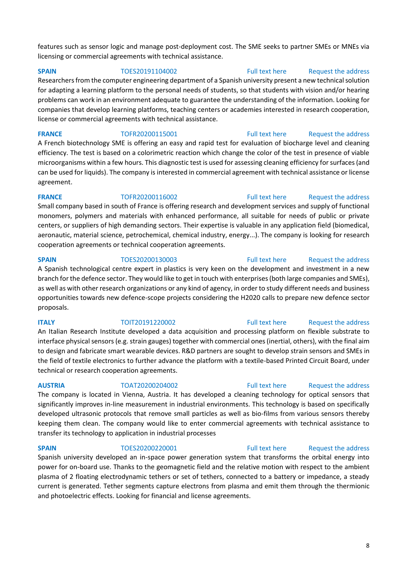features such as sensor logic and manage post-deployment cost. The SME seeks to partner SMEs or MNEs via licensing or commercial agreements with technical assistance.

**SPAIN** TOES20191104002 [Full text here](https://een.ec.europa.eu/tools/services/PRO/Profile/Detail/ddf9121e-0dda-4df8-8ebd-453a0f93b5c4) Request the address

Researchers from the computer engineering department of a Spanish university present a new technical solution for adapting a learning platform to the personal needs of students, so that students with vision and/or hearing problems can work in an environment adequate to guarantee the understanding of the information. Looking for companies that develop learning platforms, teaching centers or academies interested in research cooperation, license or commercial agreements with technical assistance.

**FRANCE** TOFR20200115001 [Full text here](https://een.ec.europa.eu/tools/services/PRO/Profile/Detail/e793e41e-5143-4fcb-ab66-971896b0d8e1) Request the address A French biotechnology SME is offering an easy and rapid test for evaluation of biocharge level and cleaning efficiency. The test is based on a colorimetric reaction which change the color of the test in presence of viable microorganisms within a few hours. This diagnostic test is used for assessing cleaning efficiency for surfaces (and can be used for liquids). The company is interested in commercial agreement with technical assistance or license agreement.

**FRANCE** TOFR20200116002 [Full text here](https://een.ec.europa.eu/tools/services/PRO/Profile/Detail/7c896754-8ef0-4f43-a5bd-290d7391d21d) Request the address Small company based in south of France is offering research and development services and supply of functional monomers, polymers and materials with enhanced performance, all suitable for needs of public or private centers, or suppliers of high demanding sectors. Their expertise is valuable in any application field (biomedical, aeronautic, material science, petrochemical, chemical industry, energy...). The company is looking for research cooperation agreements or technical cooperation agreements.

### **SPAIN** TOES20200130003 [Full text here](https://een.ec.europa.eu/tools/services/PRO/Profile/Detail/bde0154f-0ef7-44b6-ba29-f6335870fd1c) Request the address

A Spanish technological centre expert in plastics is very keen on the development and investment in a new branch for the defence sector. They would like to get in touch with enterprises (both large companies and SMEs), as well as with other research organizations or any kind of agency, in order to study different needs and business opportunities towards new defence-scope projects considering the H2020 calls to prepare new defence sector proposals.

**ITALY TOIT20191220002** [Full text here](https://een.ec.europa.eu/tools/services/PRO/Profile/Detail/c8ade762-0234-400c-ae38-7f8ea055452b) Request the address

An Italian Research Institute developed a data acquisition and processing platform on flexible substrate to interface physical sensors (e.g. strain gauges) together with commercial ones (inertial, others), with the final aim to design and fabricate smart wearable devices. R&D partners are sought to develop strain sensors and SMEs in the field of textile electronics to further advance the platform with a textile-based Printed Circuit Board, under technical or research cooperation agreements.

### **AUSTRIA** TOAT20200204002 [Full text here](https://een.ec.europa.eu/tools/services/PRO/Profile/Detail/755b46d2-b9dd-40ca-a597-29e0cb777411) [Request the address](http://www.een.bg/index.php?option=com_rsform&formId=13)

The company is located in Vienna, Austria. It has developed a cleaning technology for optical sensors that significantly improves in-line measurement in industrial environments. This technology is based on specifically developed ultrasonic protocols that remove small particles as well as bio-films from various sensors thereby keeping them clean. The company would like to enter commercial agreements with technical assistance to transfer its technology to application in industrial processes

### **SPAIN** TOES20200220001 [Full text here](https://een.ec.europa.eu/tools/services/PRO/Profile/Detail/7e5bfae6-6cb1-4a5a-817c-1b9e7e5ef9de) Request the address

Spanish university developed an in-space power generation system that transforms the orbital energy into power for on-board use. Thanks to the geomagnetic field and the relative motion with respect to the ambient plasma of 2 floating electrodynamic tethers or set of tethers, connected to a battery or impedance, a steady current is generated. Tether segments capture electrons from plasma and emit them through the thermionic and photoelectric effects. Looking for financial and license agreements.